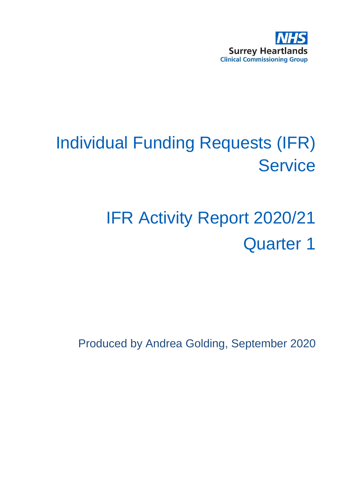

# Individual Funding Requests (IFR) **Service**

# IFR Activity Report 2020/21 Quarter 1

Produced by Andrea Golding, September 2020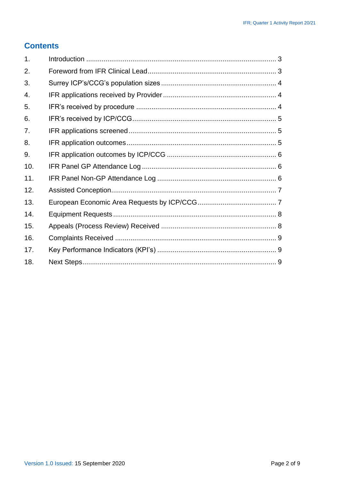#### **Contents**

| 1.  |  |
|-----|--|
| 2.  |  |
| 3.  |  |
| 4.  |  |
| 5.  |  |
| 6.  |  |
| 7.  |  |
| 8.  |  |
| 9.  |  |
| 10. |  |
| 11. |  |
| 12. |  |
| 13. |  |
| 14. |  |
| 15. |  |
| 16. |  |
| 17. |  |
| 18. |  |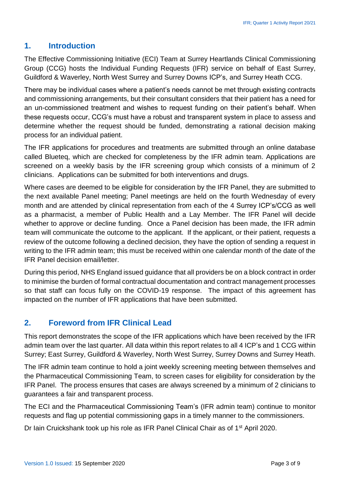#### <span id="page-2-0"></span>**1. Introduction**

The Effective Commissioning Initiative (ECI) Team at Surrey Heartlands Clinical Commissioning Group (CCG) hosts the Individual Funding Requests (IFR) service on behalf of East Surrey, Guildford & Waverley, North West Surrey and Surrey Downs ICP's, and Surrey Heath CCG.

There may be individual cases where a patient's needs cannot be met through existing contracts and commissioning arrangements, but their consultant considers that their patient has a need for an un-commissioned treatment and wishes to request funding on their patient's behalf. When these requests occur, CCG's must have a robust and transparent system in place to assess and determine whether the request should be funded, demonstrating a rational decision making process for an individual patient.

The IFR applications for procedures and treatments are submitted through an online database called Blueteq, which are checked for completeness by the IFR admin team. Applications are screened on a weekly basis by the IFR screening group which consists of a minimum of 2 clinicians. Applications can be submitted for both interventions and drugs.

Where cases are deemed to be eligible for consideration by the IFR Panel, they are submitted to the next available Panel meeting; Panel meetings are held on the fourth Wednesday of every month and are attended by clinical representation from each of the 4 Surrey ICP's/CCG as well as a pharmacist, a member of Public Health and a Lay Member. The IFR Panel will decide whether to approve or decline funding. Once a Panel decision has been made, the IFR admin team will communicate the outcome to the applicant. If the applicant, or their patient, requests a review of the outcome following a declined decision, they have the option of sending a request in writing to the IFR admin team; this must be received within one calendar month of the date of the IFR Panel decision email/letter.

During this period, NHS England issued guidance that all providers be on a block contract in order to minimise the burden of formal contractual documentation and contract management processes so that staff can focus fully on the COVID-19 response. The impact of this agreement has impacted on the number of IFR applications that have been submitted.

#### <span id="page-2-1"></span>**2. Foreword from IFR Clinical Lead**

This report demonstrates the scope of the IFR applications which have been received by the IFR admin team over the last quarter. All data within this report relates to all 4 ICP's and 1 CCG within Surrey; East Surrey, Guildford & Waverley, North West Surrey, Surrey Downs and Surrey Heath.

The IFR admin team continue to hold a joint weekly screening meeting between themselves and the Pharmaceutical Commissioning Team, to screen cases for eligibility for consideration by the IFR Panel. The process ensures that cases are always screened by a minimum of 2 clinicians to guarantees a fair and transparent process.

The ECI and the Pharmaceutical Commissioning Team's (IFR admin team) continue to monitor requests and flag up potential commissioning gaps in a timely manner to the commissioners.

Dr Iain Cruickshank took up his role as IFR Panel Clinical Chair as of 1<sup>st</sup> April 2020.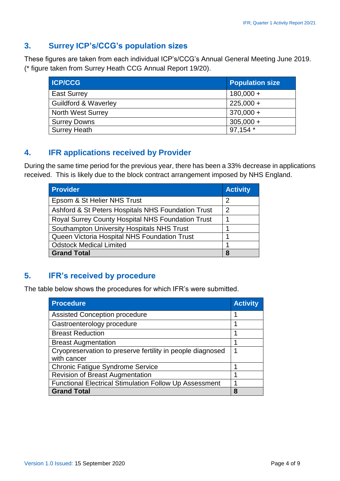# <span id="page-3-0"></span>**3. Surrey ICP's/CCG's population sizes**

These figures are taken from each individual ICP's/CCG's Annual General Meeting June 2019. (\* figure taken from Surrey Heath CCG Annual Report 19/20).

| <b>ICP/CCG</b>                  | <b>Population size</b> |
|---------------------------------|------------------------|
| <b>East Surrey</b>              | $180,000 +$            |
| <b>Guildford &amp; Waverley</b> | $225,000 +$            |
| <b>North West Surrey</b>        | $370,000 +$            |
| <b>Surrey Downs</b>             | $305,000 +$            |
| <b>Surrey Heath</b>             | 97,154 *               |

# <span id="page-3-1"></span>**4. IFR applications received by Provider**

During the same time period for the previous year, there has been a 33% decrease in applications received. This is likely due to the block contract arrangement imposed by NHS England.

| <b>Provider</b>                                    | <b>Activity</b> |
|----------------------------------------------------|-----------------|
| Epsom & St Helier NHS Trust                        | 2               |
| Ashford & St Peters Hospitals NHS Foundation Trust | 2               |
| Royal Surrey County Hospital NHS Foundation Trust  |                 |
| Southampton University Hospitals NHS Trust         |                 |
| Queen Victoria Hospital NHS Foundation Trust       |                 |
| <b>Odstock Medical Limited</b>                     |                 |
| <b>Grand Total</b>                                 | 8               |

# <span id="page-3-2"></span>**5. IFR's received by procedure**

The table below shows the procedures for which IFR's were submitted.

| <b>Procedure</b>                                              | <b>Activity</b> |
|---------------------------------------------------------------|-----------------|
| <b>Assisted Conception procedure</b>                          | ٠               |
| Gastroenterology procedure                                    |                 |
| <b>Breast Reduction</b>                                       |                 |
| <b>Breast Augmentation</b>                                    |                 |
| Cryopreservation to preserve fertility in people diagnosed    |                 |
| with cancer                                                   |                 |
| <b>Chronic Fatigue Syndrome Service</b>                       |                 |
| <b>Revision of Breast Augmentation</b>                        |                 |
| <b>Functional Electrical Stimulation Follow Up Assessment</b> |                 |
| <b>Grand Total</b>                                            | 8               |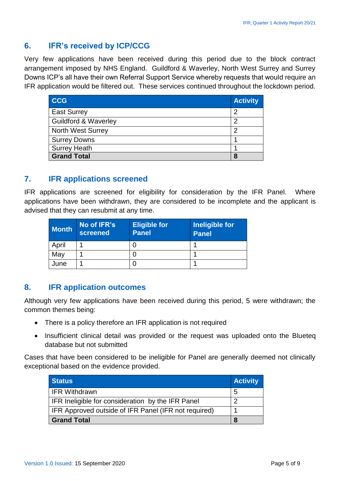# <span id="page-4-0"></span>**6. IFR's received by ICP/CCG**

Very few applications have been received during this period due to the block contract arrangement imposed by NHS England. Guildford & Waverley, North West Surrey and Surrey Downs ICP's all have their own Referral Support Service whereby requests that would require an IFR application would be filtered out. These services continued throughout the lockdown period.

| <b>CCG</b>                      | <b>Activity</b> |
|---------------------------------|-----------------|
| <b>East Surrey</b>              | 2               |
| <b>Guildford &amp; Waverley</b> | 2               |
| <b>North West Surrey</b>        | 2               |
| <b>Surrey Downs</b>             |                 |
| <b>Surrey Heath</b>             |                 |
| <b>Grand Total</b>              | 8               |

#### <span id="page-4-1"></span>**7. IFR applications screened**

IFR applications are screened for eligibility for consideration by the IFR Panel. Where applications have been withdrawn, they are considered to be incomplete and the applicant is advised that they can resubmit at any time.

| <b>Month</b> | No of IFR's<br>screened | <b>Eligible for</b><br><b>Panel</b> | Ineligible for<br><b>Panel</b> |
|--------------|-------------------------|-------------------------------------|--------------------------------|
| April        |                         |                                     |                                |
| May          |                         |                                     |                                |
| June         |                         |                                     |                                |

#### <span id="page-4-2"></span>**8. IFR application outcomes**

Although very few applications have been received during this period, 5 were withdrawn; the common themes being:

- There is a policy therefore an IFR application is not required
- Insufficient clinical detail was provided or the request was uploaded onto the Blueteq database but not submitted

Cases that have been considered to be ineligible for Panel are generally deemed not clinically exceptional based on the evidence provided.

| <b>Status</b>                                               | <b>Activity</b> |
|-------------------------------------------------------------|-----------------|
| IFR Withdrawn                                               | -5              |
| <b>IFR Ineligible for consideration by the IFR Panel</b>    |                 |
| <b>IFR Approved outside of IFR Panel (IFR not required)</b> |                 |
| <b>Grand Total</b>                                          |                 |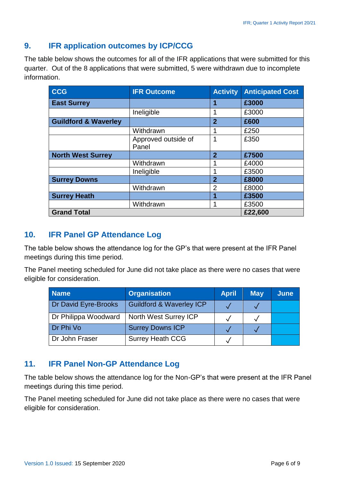# <span id="page-5-0"></span>**9. IFR application outcomes by ICP/CCG**

The table below shows the outcomes for all of the IFR applications that were submitted for this quarter. Out of the 8 applications that were submitted, 5 were withdrawn due to incomplete information.

| <b>CCG</b>                      | <b>IFR Outcome</b>           | <b>Activity</b> | <b>Anticipated Cost</b> |
|---------------------------------|------------------------------|-----------------|-------------------------|
| <b>East Surrey</b>              |                              | 1               | £3000                   |
|                                 | Ineligible                   | 1               | £3000                   |
| <b>Guildford &amp; Waverley</b> |                              | $\overline{2}$  | £600                    |
|                                 | Withdrawn                    |                 | £250                    |
|                                 | Approved outside of<br>Panel | 1               | £350                    |
| <b>North West Surrey</b>        |                              | $\overline{2}$  | £7500                   |
|                                 | Withdrawn                    |                 | £4000                   |
|                                 | Ineligible                   | 1               | £3500                   |
| <b>Surrey Downs</b>             |                              | $\mathbf 2$     | £8000                   |
|                                 | Withdrawn                    | $\overline{2}$  | £8000                   |
| <b>Surrey Heath</b>             |                              | 1               | £3500                   |
|                                 | Withdrawn                    | 1               | £3500                   |
| <b>Grand Total</b>              |                              |                 | £22,600                 |

#### <span id="page-5-1"></span>**10. IFR Panel GP Attendance Log**

The table below shows the attendance log for the GP's that were present at the IFR Panel meetings during this time period.

The Panel meeting scheduled for June did not take place as there were no cases that were eligible for consideration.

| <b>Name</b>          | <b>Organisation</b>                 | <b>April</b> | <b>May</b> | June |
|----------------------|-------------------------------------|--------------|------------|------|
| Dr David Eyre-Brooks | <b>Guildford &amp; Waverley ICP</b> |              |            |      |
| Dr Philippa Woodward | North West Surrey ICP               |              |            |      |
| Dr Phi Vo            | <b>Surrey Downs ICP</b>             |              |            |      |
| Dr John Fraser       | <b>Surrey Heath CCG</b>             |              |            |      |

#### <span id="page-5-2"></span>**11. IFR Panel Non-GP Attendance Log**

The table below shows the attendance log for the Non-GP's that were present at the IFR Panel meetings during this time period.

The Panel meeting scheduled for June did not take place as there were no cases that were eligible for consideration.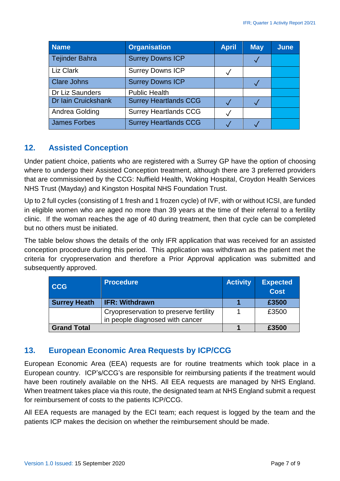| <b>Name</b>                | <b>Organisation</b>          | <b>April</b> | <b>May</b> | <b>June</b> |
|----------------------------|------------------------------|--------------|------------|-------------|
| <b>Tejinder Bahra</b>      | <b>Surrey Downs ICP</b>      |              |            |             |
| Liz Clark                  | <b>Surrey Downs ICP</b>      |              |            |             |
| <b>Clare Johns</b>         | <b>Surrey Downs ICP</b>      |              |            |             |
| Dr Liz Saunders            | <b>Public Health</b>         |              |            |             |
| <b>Dr lain Cruickshank</b> | <b>Surrey Heartlands CCG</b> |              |            |             |
| Andrea Golding             | <b>Surrey Heartlands CCG</b> |              |            |             |
| <b>James Forbes</b>        | <b>Surrey Heartlands CCG</b> |              |            |             |

# <span id="page-6-0"></span>**12. Assisted Conception**

Under patient choice, patients who are registered with a Surrey GP have the option of choosing where to undergo their Assisted Conception treatment, although there are 3 preferred providers that are commissioned by the CCG: Nuffield Health, Woking Hospital, Croydon Health Services NHS Trust (Mayday) and Kingston Hospital NHS Foundation Trust.

Up to 2 full cycles (consisting of 1 fresh and 1 frozen cycle) of IVF, with or without ICSI, are funded in eligible women who are aged no more than 39 years at the time of their referral to a fertility clinic. If the woman reaches the age of 40 during treatment, then that cycle can be completed but no others must be initiated.

The table below shows the details of the only IFR application that was received for an assisted conception procedure during this period. This application was withdrawn as the patient met the criteria for cryopreservation and therefore a Prior Approval application was submitted and subsequently approved.

| <b>CCG</b>          | <b>Procedure</b>                                                          | <b>Activity</b> | <b>Expected</b><br><b>Cost</b> |
|---------------------|---------------------------------------------------------------------------|-----------------|--------------------------------|
| <b>Surrey Heath</b> | <b>IFR: Withdrawn</b>                                                     |                 | £3500                          |
|                     | Cryopreservation to preserve fertility<br>in people diagnosed with cancer |                 | £3500                          |
| <b>Grand Total</b>  |                                                                           |                 | £3500                          |

# <span id="page-6-1"></span>**13. European Economic Area Requests by ICP/CCG**

European Economic Area (EEA) requests are for routine treatments which took place in a European country. ICP's/CCG's are responsible for reimbursing patients if the treatment would have been routinely available on the NHS. All EEA requests are managed by NHS England. When treatment takes place via this route, the designated team at NHS England submit a request for reimbursement of costs to the patients ICP/CCG.

All EEA requests are managed by the ECI team; each request is logged by the team and the patients ICP makes the decision on whether the reimbursement should be made.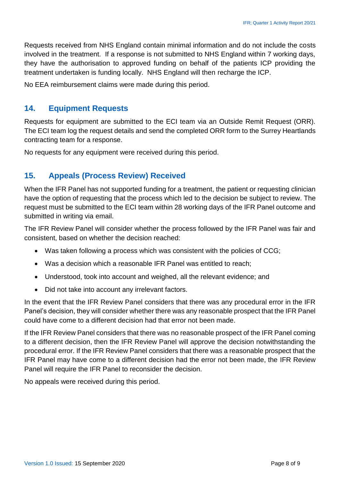Requests received from NHS England contain minimal information and do not include the costs involved in the treatment. If a response is not submitted to NHS England within 7 working days, they have the authorisation to approved funding on behalf of the patients ICP providing the treatment undertaken is funding locally. NHS England will then recharge the ICP.

No EEA reimbursement claims were made during this period.

#### <span id="page-7-0"></span>**14. Equipment Requests**

Requests for equipment are submitted to the ECI team via an Outside Remit Request (ORR). The ECI team log the request details and send the completed ORR form to the Surrey Heartlands contracting team for a response.

No requests for any equipment were received during this period.

# <span id="page-7-1"></span>**15. Appeals (Process Review) Received**

When the IFR Panel has not supported funding for a treatment, the patient or requesting clinician have the option of requesting that the process which led to the decision be subject to review. The request must be submitted to the ECI team within 28 working days of the IFR Panel outcome and submitted in writing via email.

The IFR Review Panel will consider whether the process followed by the IFR Panel was fair and consistent, based on whether the decision reached:

- Was taken following a process which was consistent with the policies of CCG;
- Was a decision which a reasonable IFR Panel was entitled to reach;
- Understood, took into account and weighed, all the relevant evidence; and
- Did not take into account any irrelevant factors.

In the event that the IFR Review Panel considers that there was any procedural error in the IFR Panel's decision, they will consider whether there was any reasonable prospect that the IFR Panel could have come to a different decision had that error not been made.

If the IFR Review Panel considers that there was no reasonable prospect of the IFR Panel coming to a different decision, then the IFR Review Panel will approve the decision notwithstanding the procedural error. If the IFR Review Panel considers that there was a reasonable prospect that the IFR Panel may have come to a different decision had the error not been made, the IFR Review Panel will require the IFR Panel to reconsider the decision.

No appeals were received during this period.